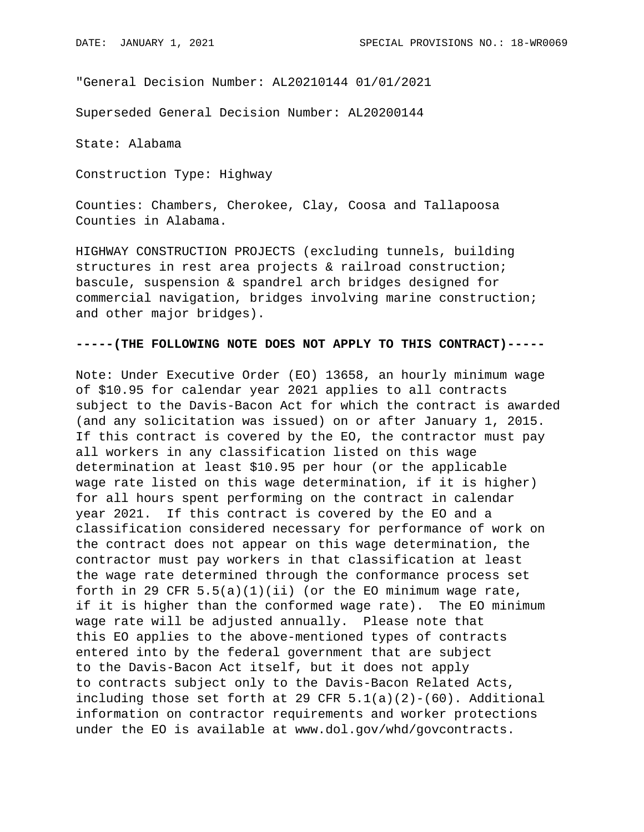"General Decision Number: AL20210144 01/01/2021

Superseded General Decision Number: AL20200144

State: Alabama

Construction Type: Highway

Counties: Chambers, Cherokee, Clay, Coosa and Tallapoosa Counties in Alabama.

HIGHWAY CONSTRUCTION PROJECTS (excluding tunnels, building structures in rest area projects & railroad construction; bascule, suspension & spandrel arch bridges designed for commercial navigation, bridges involving marine construction; and other major bridges).

## **-----(THE FOLLOWING NOTE DOES NOT APPLY TO THIS CONTRACT)-----**

Note: Under Executive Order (EO) 13658, an hourly minimum wage of \$10.95 for calendar year 2021 applies to all contracts subject to the Davis-Bacon Act for which the contract is awarded (and any solicitation was issued) on or after January 1, 2015. If this contract is covered by the EO, the contractor must pay all workers in any classification listed on this wage determination at least \$10.95 per hour (or the applicable wage rate listed on this wage determination, if it is higher) for all hours spent performing on the contract in calendar year 2021. If this contract is covered by the EO and a classification considered necessary for performance of work on the contract does not appear on this wage determination, the contractor must pay workers in that classification at least the wage rate determined through the conformance process set forth in 29 CFR  $5.5(a)(1)(ii)$  (or the EO minimum wage rate, if it is higher than the conformed wage rate). The EO minimum wage rate will be adjusted annually. Please note that this EO applies to the above-mentioned types of contracts entered into by the federal government that are subject to the Davis-Bacon Act itself, but it does not apply to contracts subject only to the Davis-Bacon Related Acts, including those set forth at 29 CFR 5.1(a)(2)-(60). Additional information on contractor requirements and worker protections under the EO is available at www.dol.gov/whd/govcontracts.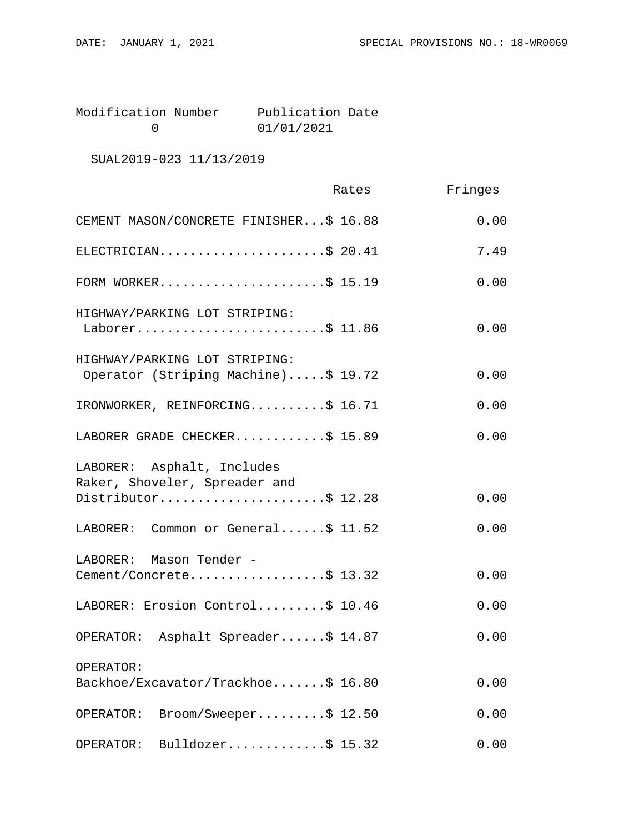Modification Number Publication Date<br>0 01/01/2021 0 01/01/2021

SUAL2019-023 11/13/2019

|                                                                      | Rates | Fringes |
|----------------------------------------------------------------------|-------|---------|
| CEMENT MASON/CONCRETE FINISHER\$ 16.88                               |       | 0.00    |
| ELECTRICIAN\$ 20.41                                                  |       | 7.49    |
| FORM WORKER\$ 15.19                                                  |       | 0.00    |
| HIGHWAY/PARKING LOT STRIPING:<br>Laborer\$ 11.86                     |       | 0.00    |
| HIGHWAY/PARKING LOT STRIPING:<br>Operator (Striping Machine)\$ 19.72 |       | 0.00    |
| IRONWORKER, REINFORCING\$ 16.71                                      |       | 0.00    |
| LABORER GRADE CHECKER\$ 15.89                                        |       | 0.00    |
| LABORER: Asphalt, Includes<br>Raker, Shoveler, Spreader and          |       |         |
| Distributor\$ 12.28                                                  |       | 0.00    |
| LABORER: Common or General\$ 11.52                                   |       | 0.00    |
| LABORER: Mason Tender -                                              |       |         |
| Cement/Concrete\$ 13.32                                              |       | 0.00    |
| LABORER: Erosion Control\$ 10.46                                     |       | 0.00    |
| OPERATOR: Asphalt Spreader\$ 14.87                                   |       | 0.00    |
| OPERATOR:                                                            |       |         |
| Backhoe/Excavator/Trackhoe\$ 16.80                                   |       | 0.00    |
| $\texttt{Broom/Sweeper} \ldots \ldots \ddot{S} 12.50$<br>OPERATOR:   |       | 0.00    |
| Bulldozer\$ $15.32$<br>OPERATOR:                                     |       | 0.00    |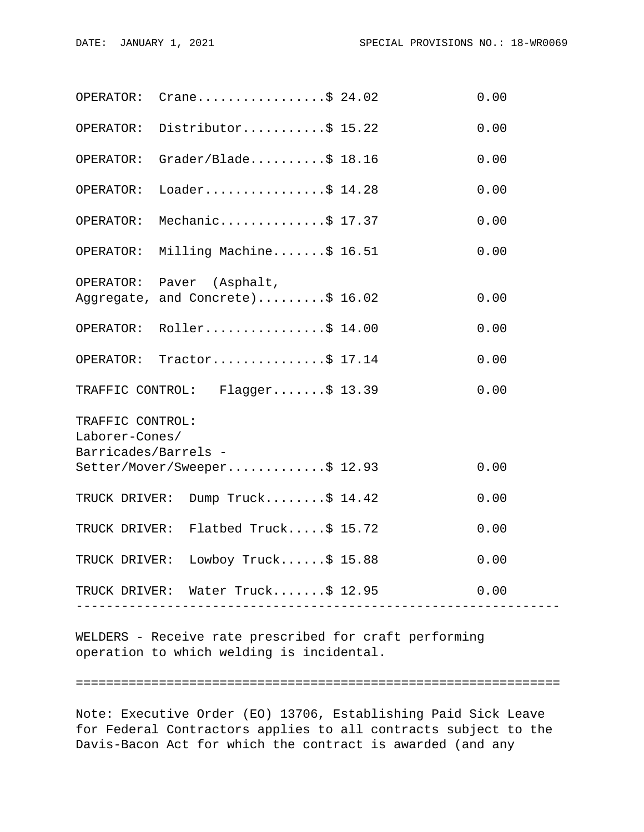|                      | OPERATOR: $Crane$ \$ 24.02          |                    | 0.00 |  |
|----------------------|-------------------------------------|--------------------|------|--|
|                      | OPERATOR: Distributor\$ 15.22       |                    | 0.00 |  |
| OPERATOR:            | $Grader/Blade \ldots$ . \$ 18.16    |                    | 0.00 |  |
| OPERATOR:            | Loader\$ $14.28$                    |                    | 0.00 |  |
| OPERATOR:            | Mechanic\$ 17.37                    |                    | 0.00 |  |
|                      | OPERATOR: Milling Machine\$ 16.51   |                    | 0.00 |  |
|                      | OPERATOR: Paver (Asphalt,           |                    |      |  |
|                      | Aggregate, and Concrete)\$ 16.02    |                    | 0.00 |  |
|                      | OPERATOR: Roller\$ 14.00            |                    | 0.00 |  |
|                      | OPERATOR: Tractor\$ 17.14           |                    | 0.00 |  |
|                      | TRAFFIC CONTROL: Flagger\$ 13.39    |                    | 0.00 |  |
| TRAFFIC CONTROL:     |                                     |                    |      |  |
| Laborer-Cones/       |                                     |                    |      |  |
| Barricades/Barrels - |                                     |                    |      |  |
|                      | Setter/Mover/Sweeper\$ 12.93        |                    | 0.00 |  |
|                      | TRUCK DRIVER: Dump Truck\$ 14.42    |                    | 0.00 |  |
|                      | TRUCK DRIVER: Flatbed Truck\$ 15.72 |                    | 0.00 |  |
|                      | TRUCK DRIVER: Lowboy Truck\$ 15.88  |                    | 0.00 |  |
|                      | TRUCK DRIVER: Water Truck\$ 12.95   |                    | 0.00 |  |
|                      | ___________________________________ | ------------------ |      |  |

WELDERS - Receive rate prescribed for craft performing operation to which welding is incidental.

================================================================

Note: Executive Order (EO) 13706, Establishing Paid Sick Leave for Federal Contractors applies to all contracts subject to the Davis-Bacon Act for which the contract is awarded (and any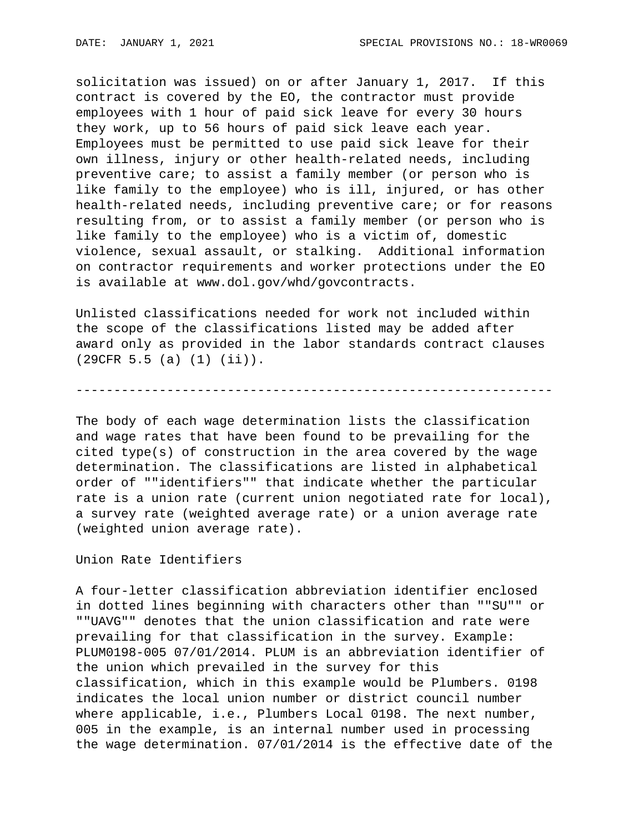solicitation was issued) on or after January 1, 2017. If this contract is covered by the EO, the contractor must provide employees with 1 hour of paid sick leave for every 30 hours they work, up to 56 hours of paid sick leave each year. Employees must be permitted to use paid sick leave for their own illness, injury or other health-related needs, including preventive care; to assist a family member (or person who is like family to the employee) who is ill, injured, or has other health-related needs, including preventive care; or for reasons resulting from, or to assist a family member (or person who is like family to the employee) who is a victim of, domestic violence, sexual assault, or stalking. Additional information on contractor requirements and worker protections under the EO is available at www.dol.gov/whd/govcontracts.

Unlisted classifications needed for work not included within the scope of the classifications listed may be added after award only as provided in the labor standards contract clauses (29CFR 5.5 (a) (1) (ii)).

---------------------------------------------------------------

The body of each wage determination lists the classification and wage rates that have been found to be prevailing for the cited type(s) of construction in the area covered by the wage determination. The classifications are listed in alphabetical order of ""identifiers"" that indicate whether the particular rate is a union rate (current union negotiated rate for local), a survey rate (weighted average rate) or a union average rate (weighted union average rate).

Union Rate Identifiers

A four-letter classification abbreviation identifier enclosed in dotted lines beginning with characters other than ""SU"" or ""UAVG"" denotes that the union classification and rate were prevailing for that classification in the survey. Example: PLUM0198-005 07/01/2014. PLUM is an abbreviation identifier of the union which prevailed in the survey for this classification, which in this example would be Plumbers. 0198 indicates the local union number or district council number where applicable, i.e., Plumbers Local 0198. The next number, 005 in the example, is an internal number used in processing the wage determination. 07/01/2014 is the effective date of the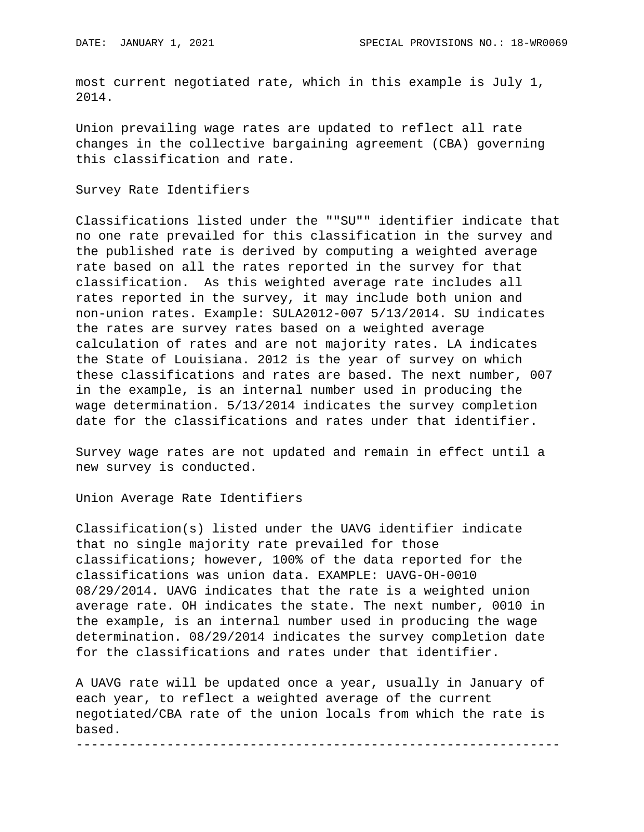most current negotiated rate, which in this example is July 1, 2014.

Union prevailing wage rates are updated to reflect all rate changes in the collective bargaining agreement (CBA) governing this classification and rate.

Survey Rate Identifiers

Classifications listed under the ""SU"" identifier indicate that no one rate prevailed for this classification in the survey and the published rate is derived by computing a weighted average rate based on all the rates reported in the survey for that classification. As this weighted average rate includes all rates reported in the survey, it may include both union and non-union rates. Example: SULA2012-007 5/13/2014. SU indicates the rates are survey rates based on a weighted average calculation of rates and are not majority rates. LA indicates the State of Louisiana. 2012 is the year of survey on which these classifications and rates are based. The next number, 007 in the example, is an internal number used in producing the wage determination. 5/13/2014 indicates the survey completion date for the classifications and rates under that identifier.

Survey wage rates are not updated and remain in effect until a new survey is conducted.

Union Average Rate Identifiers

Classification(s) listed under the UAVG identifier indicate that no single majority rate prevailed for those classifications; however, 100% of the data reported for the classifications was union data. EXAMPLE: UAVG-OH-0010 08/29/2014. UAVG indicates that the rate is a weighted union average rate. OH indicates the state. The next number, 0010 in the example, is an internal number used in producing the wage determination. 08/29/2014 indicates the survey completion date for the classifications and rates under that identifier.

A UAVG rate will be updated once a year, usually in January of each year, to reflect a weighted average of the current negotiated/CBA rate of the union locals from which the rate is based.

----------------------------------------------------------------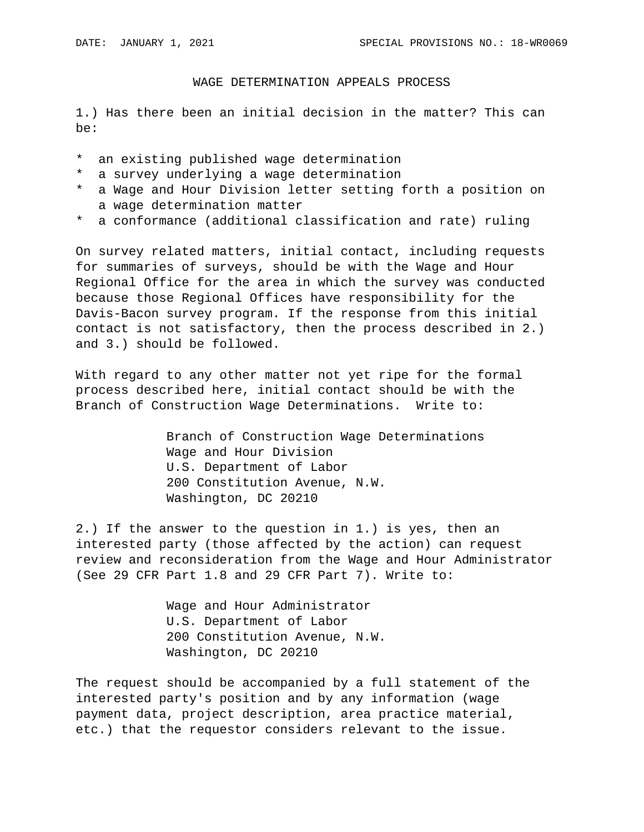## WAGE DETERMINATION APPEALS PROCESS

1.) Has there been an initial decision in the matter? This can be:

- \* an existing published wage determination
- \* a survey underlying a wage determination
- \* a Wage and Hour Division letter setting forth a position on a wage determination matter
- \* a conformance (additional classification and rate) ruling

On survey related matters, initial contact, including requests for summaries of surveys, should be with the Wage and Hour Regional Office for the area in which the survey was conducted because those Regional Offices have responsibility for the Davis-Bacon survey program. If the response from this initial contact is not satisfactory, then the process described in 2.) and 3.) should be followed.

With regard to any other matter not yet ripe for the formal process described here, initial contact should be with the Branch of Construction Wage Determinations. Write to:

> Branch of Construction Wage Determinations Wage and Hour Division U.S. Department of Labor 200 Constitution Avenue, N.W. Washington, DC 20210

2.) If the answer to the question in 1.) is yes, then an interested party (those affected by the action) can request review and reconsideration from the Wage and Hour Administrator (See 29 CFR Part 1.8 and 29 CFR Part 7). Write to:

> Wage and Hour Administrator U.S. Department of Labor 200 Constitution Avenue, N.W. Washington, DC 20210

The request should be accompanied by a full statement of the interested party's position and by any information (wage payment data, project description, area practice material, etc.) that the requestor considers relevant to the issue.